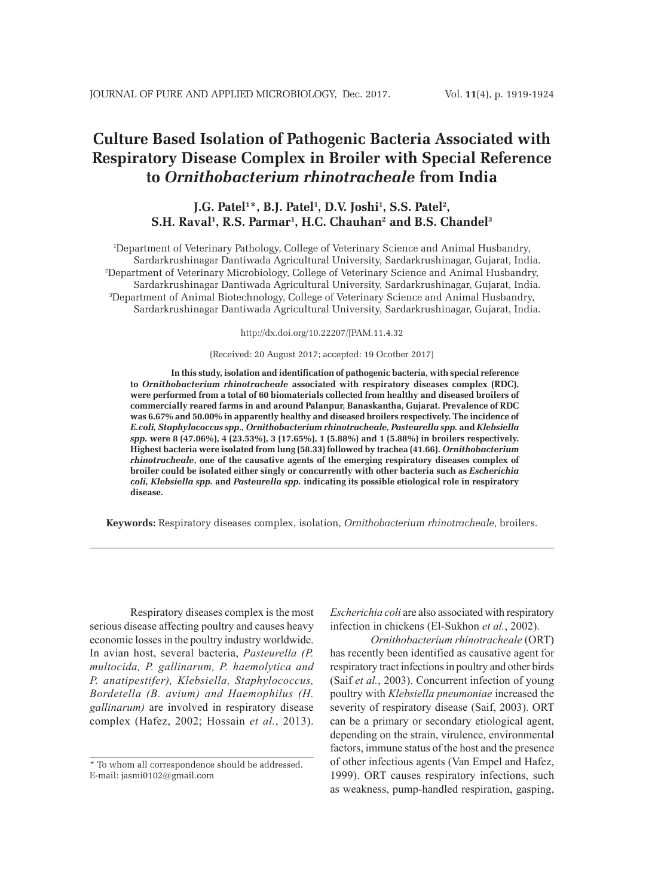# **Culture Based Isolation of Pathogenic Bacteria Associated with Respiratory Disease Complex in Broiler with Special Reference to** *Ornithobacterium rhinotracheale* **from India**

## **J.G. Patel<sup>1\*</sup>, B.J. Patel<sup>1</sup>, D.V. Joshi<sup>1</sup>, S.S. Patel<sup>2</sup>, S.H. Raval1 , R.S. Parmar1 , H.C. Chauhan2 and B.S. Chandel3**

1 Department of Veterinary Pathology, College of Veterinary Science and Animal Husbandry, Sardarkrushinagar Dantiwada Agricultural University, Sardarkrushinagar, Gujarat, India. 2 Department of Veterinary Microbiology, College of Veterinary Science and Animal Husbandry, Sardarkrushinagar Dantiwada Agricultural University, Sardarkrushinagar, Gujarat, India. 3 Department of Animal Biotechnology, College of Veterinary Science and Animal Husbandry, Sardarkrushinagar Dantiwada Agricultural University, Sardarkrushinagar, Gujarat, India.

http://dx.doi.org/10.22207/JPAM.11.4.32

(Received: 20 August 2017; accepted: 19 Ocotber 2017)

**In this study, isolation and identification of pathogenic bacteria, with special reference to** *Ornithobacterium rhinotracheale* **associated with respiratory diseases complex (RDC), were performed from a total of 60 biomaterials collected from healthy and diseased broilers of commercially reared farms in and around Palanpur, Banaskantha, Gujarat. Prevalence of RDC was 6.67% and 50.00% in apparently healthy and diseased broilers respectively. The incidence of**  *E.coli, Staphylococcus spp., Ornithobacterium rhinotracheale, Pasteurella spp.* **and** *Klebsiella spp.* **were 8 (47.06%), 4 (23.53%), 3 (17.65%), 1 (5.88%) and 1 (5.88%) in broilers respectively. Highest bacteria were isolated from lung (58.33) followed by trachea (41.66).** *Ornithobacterium rhinotracheale***, one of the causative agents of the emerging respiratory diseases complex of broiler could be isolated either singly or concurrently with other bacteria such as** *Escherichia coli, Klebsiella spp.* **and** *Pasteurella spp.* **indicating its possible etiological role in respiratory disease.**

**Keywords:** Respiratory diseases complex, isolation, *Ornithobacterium rhinotracheale*, broilers.

Respiratory diseases complex is the most serious disease affecting poultry and causes heavy economic losses in the poultry industry worldwide. In avian host, several bacteria, *Pasteurella (P. multocida, P. gallinarum, P. haemolytica and P. anatipestifer), Klebsiella, Staphylococcus, Bordetella (B. avium) and Haemophilus (H. gallinarum)* are involved in respiratory disease complex (Hafez, 2002; Hossain *et al.*, 2013). *Escherichia coli* are also associated with respiratory infection in chickens (El-Sukhon *et al.*, 2002).

*Ornithobacterium rhinotracheale* (ORT) has recently been identified as causative agent for respiratory tract infections in poultry and other birds (Saif *et al.*, 2003). Concurrent infection of young poultry with *Klebsiella pneumoniae* increased the severity of respiratory disease (Saif, 2003). ORT can be a primary or secondary etiological agent, depending on the strain, virulence, environmental factors, immune status of the host and the presence of other infectious agents (Van Empel and Hafez, 1999). ORT causes respiratory infections, such as weakness, pump-handled respiration, gasping,

<sup>\*</sup> To whom all correspondence should be addressed. E-mail: jasmi0102@gmail.com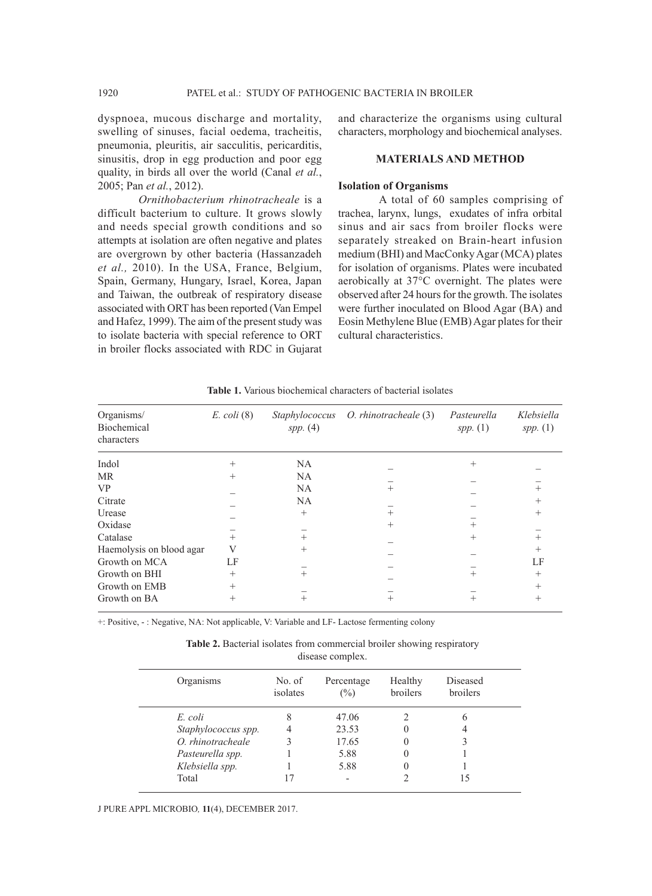dyspnoea, mucous discharge and mortality, swelling of sinuses, facial oedema, tracheitis, pneumonia, pleuritis, air sacculitis, pericarditis, sinusitis, drop in egg production and poor egg quality, in birds all over the world (Canal *et al.*, 2005; Pan *et al.*, 2012).

and characterize the organisms using cultural characters, morphology and biochemical analyses.

## **MATERIALS AND METHOD**

## **Isolation of Organisms**

*Ornithobacterium rhinotracheale* is a difficult bacterium to culture. It grows slowly and needs special growth conditions and so attempts at isolation are often negative and plates are overgrown by other bacteria (Hassanzadeh *et al.,* 2010). In the USA, France, Belgium, Spain, Germany, Hungary, Israel, Korea, Japan and Taiwan, the outbreak of respiratory disease associated with ORT has been reported (Van Empel and Hafez, 1999). The aim of the present study was to isolate bacteria with special reference to ORT in broiler flocks associated with RDC in Gujarat

A total of 60 samples comprising of trachea, larynx, lungs, exudates of infra orbital sinus and air sacs from broiler flocks were separately streaked on Brain-heart infusion medium (BHI) and MacConky Agar (MCA) plates for isolation of organisms. Plates were incubated aerobically at 37°C overnight. The plates were observed after 24 hours for the growth. The isolates were further inoculated on Blood Agar (BA) and Eosin Methylene Blue (EMB) Agar plates for their cultural characteristics.

| Organisms/<br>Biochemical<br>characters | $E.$ coli $(8)$ | Staphylococcus<br>$spp.$ (4) | O. rhinotracheale (3) | Pasteurella<br>$spp.$ (1) | Klebsiella<br>$spp.$ (1) |
|-----------------------------------------|-----------------|------------------------------|-----------------------|---------------------------|--------------------------|
| Indol                                   | $^{+}$          | NA.                          |                       | $^{+}$                    |                          |
| <b>MR</b>                               | $^{+}$          | <b>NA</b>                    |                       |                           |                          |
| <b>VP</b>                               |                 | NA                           | $^{+}$                |                           | $^{+}$                   |
| Citrate                                 |                 | NA                           |                       |                           | $^{+}$                   |
| Urease                                  |                 | $^{+}$                       | $^{+}$                |                           | $^{+}$                   |
| Oxidase                                 |                 |                              | $^{+}$                | $^{+}$                    |                          |
| Catalase                                | $^{+}$          | $^{+}$                       |                       | $^{+}$                    | $+$                      |
| Haemolysis on blood agar                | V               | $^{+}$                       |                       |                           | $^{+}$                   |
| Growth on MCA                           | LF              |                              |                       |                           | LF                       |
| Growth on BHI                           | $^{+}$          | $^{+}$                       |                       | $^{+}$                    | $^{+}$                   |
| Growth on EMB                           | $^{+}$          |                              |                       |                           | $^{+}$                   |
| Growth on BA                            | $^{+}$          | $^{+}$                       | $^{+}$                | $^{+}$                    | $^{+}$                   |

**Table 1.** Various biochemical characters of bacterial isolates

+: Positive, - : Negative, NA: Not applicable, V: Variable and LF- Lactose fermenting colony

**Table 2.** Bacterial isolates from commercial broiler showing respiratory disease complex.

| Organisms           | No. of<br>isolates | Percentage<br>$\binom{0}{0}$ | Healthy<br>broilers | Diseased<br><b>broilers</b> |
|---------------------|--------------------|------------------------------|---------------------|-----------------------------|
| E. coli             |                    | 47.06                        |                     |                             |
| Staphylococcus spp. |                    | 23.53                        |                     |                             |
| O. rhinotracheale   |                    | 17.65                        | 0                   |                             |
| Pasteurella spp.    |                    | 5.88                         | 0                   |                             |
| Klebsiella spp.     |                    | 5.88                         |                     |                             |
| Total               |                    |                              |                     |                             |

J PURE APPL MICROBIO*,* **11**(4), DECEMBER 2017.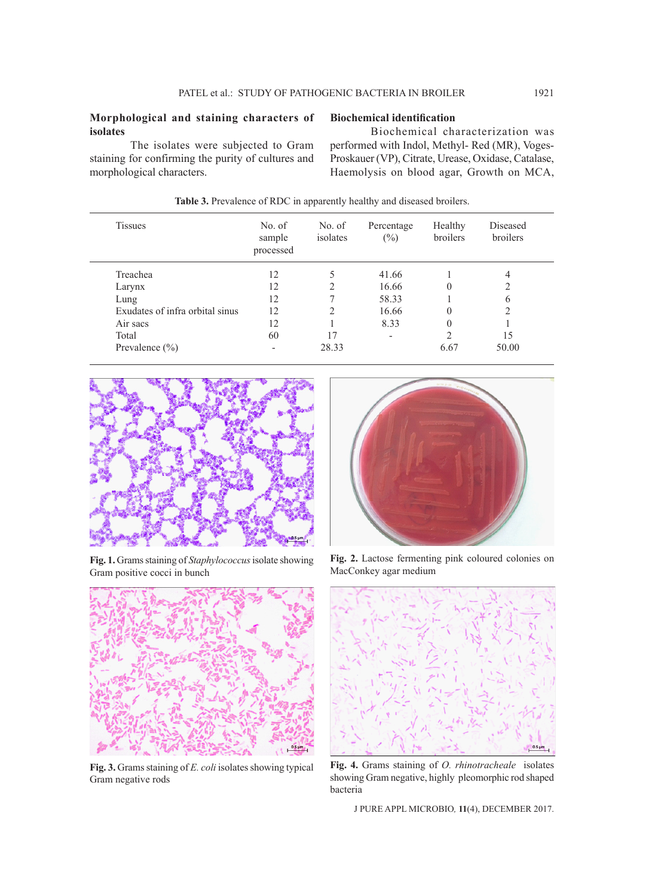## **Morphological and staining characters of isolates**

The isolates were subjected to Gram staining for confirming the purity of cultures and morphological characters.

## **Biochemical identification**

Biochemical characterization was performed with Indol, Methyl- Red (MR), Voges-Proskauer (VP), Citrate, Urease, Oxidase, Catalase, Haemolysis on blood agar, Growth on MCA,

| <b>Tissues</b>                  | No. of<br>sample<br>processed | No. of<br>isolates | Percentage<br>$(\%)$     | Healthy<br>broilers | Diseased<br>broilers |
|---------------------------------|-------------------------------|--------------------|--------------------------|---------------------|----------------------|
| Treachea                        | 12                            |                    | 41.66                    |                     | 4                    |
| Larynx                          | 12                            | າ                  | 16.66                    | 0                   | 2                    |
| Lung                            | 12                            |                    | 58.33                    |                     | 6                    |
| Exudates of infra orbital sinus | 12                            | ∍                  | 16.66                    | $\theta$            |                      |
| Air sacs                        | 12                            |                    | 8.33                     | $\theta$            |                      |
| Total                           | 60                            | 17                 | $\overline{\phantom{0}}$ |                     | 15                   |
| Prevalence $(\% )$              |                               | 28.33              |                          | 6.67                | 50.00                |

**Table 3.** Prevalence of RDC in apparently healthy and diseased broilers.



**Fig. 1.** Grams staining of *Staphylococcus* isolate showing Gram positive cocci in bunch



**Fig. 3.** Grams staining of *E. coli* isolates showing typical Gram negative rods



**Fig. 2.** Lactose fermenting pink coloured colonies on MacConkey agar medium



**Fig. 4.** Grams staining of *O. rhinotracheale* isolates showing Gram negative, highly pleomorphic rod shaped bacteria

J PURE APPL MICROBIO*,* **11**(4), DECEMBER 2017.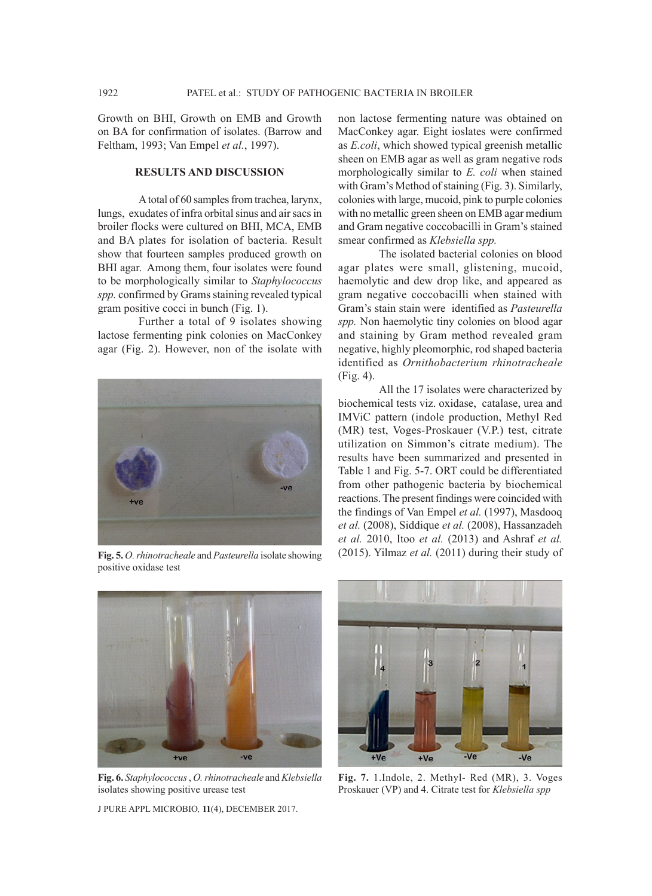Growth on BHI, Growth on EMB and Growth on BA for confirmation of isolates. (Barrow and Feltham, 1993; Van Empel *et al.*, 1997).

## **RESULTS AND DISCUSSION**

A total of 60 samples from trachea, larynx, lungs, exudates of infra orbital sinus and air sacs in broiler flocks were cultured on BHI, MCA, EMB and BA plates for isolation of bacteria. Result show that fourteen samples produced growth on BHI agar. Among them, four isolates were found to be morphologically similar to *Staphylococcus spp.* confirmed by Grams staining revealed typical gram positive cocci in bunch (Fig. 1).

Further a total of 9 isolates showing lactose fermenting pink colonies on MacConkey agar (Fig. 2). However, non of the isolate with



**Fig. 5.** *O. rhinotracheale* and *Pasteurella* isolate showing positive oxidase test

non lactose fermenting nature was obtained on MacConkey agar. Eight ioslates were confirmed as *E.coli*, which showed typical greenish metallic sheen on EMB agar as well as gram negative rods morphologically similar to *E. coli* when stained with Gram's Method of staining (Fig. 3). Similarly, colonies with large, mucoid, pink to purple colonies with no metallic green sheen on EMB agar medium and Gram negative coccobacilli in Gram's stained smear confirmed as *Klebsiella spp.*

The isolated bacterial colonies on blood agar plates were small, glistening, mucoid, haemolytic and dew drop like, and appeared as gram negative coccobacilli when stained with Gram's stain stain were identified as *Pasteurella spp.* Non haemolytic tiny colonies on blood agar and staining by Gram method revealed gram negative, highly pleomorphic, rod shaped bacteria identified as *Ornithobacterium rhinotracheale*  (Fig. 4).

All the 17 isolates were characterized by biochemical tests viz. oxidase, catalase, urea and IMViC pattern (indole production, Methyl Red (MR) test, Voges-Proskauer (V.P.) test, citrate utilization on Simmon's citrate medium). The results have been summarized and presented in Table 1 and Fig. 5-7. ORT could be differentiated from other pathogenic bacteria by biochemical reactions. The present findings were coincided with the findings of Van Empel *et al.* (1997), Masdooq *et al.* (2008), Siddique *et al.* (2008), Hassanzadeh *et al.* 2010, Itoo *et al.* (2013) and Ashraf *et al.* (2015). Yilmaz *et al.* (2011) during their study of



**Fig. 6.** *Staphylococcus* , *O. rhinotracheale* and *Klebsiella* isolates showing positive urease test

J PURE APPL MICROBIO*,* **11**(4), DECEMBER 2017.



**Fig. 7.** 1.Indole, 2. Methyl- Red (MR), 3. Voges Proskauer (VP) and 4. Citrate test for *Klebsiella spp*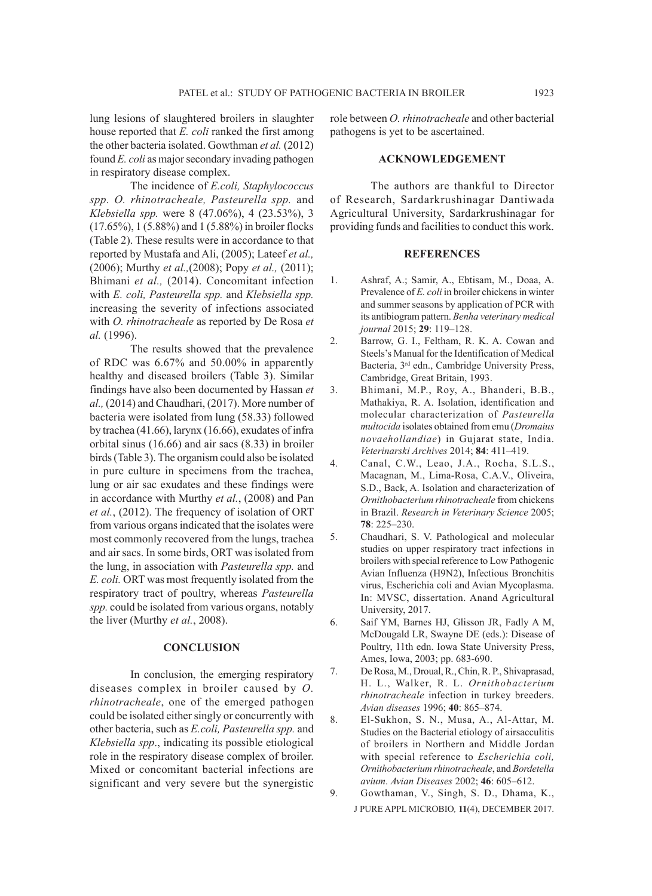lung lesions of slaughtered broilers in slaughter house reported that *E. coli* ranked the first among the other bacteria isolated. Gowthman *et al.* (2012) found *E. coli* as major secondary invading pathogen in respiratory disease complex.

The incidence of *E.coli, Staphylococcus spp. O. rhinotracheale, Pasteurella spp.* and *Klebsiella spp.* were 8 (47.06%), 4 (23.53%), 3 (17.65%), 1 (5.88%) and 1 (5.88%) in broiler flocks (Table 2). These results were in accordance to that reported by Mustafa and Ali, (2005); Lateef *et al.,* (2006); Murthy *et al.,*(2008); Popy *et al.,* (2011); Bhimani *et al.,* (2014). Concomitant infection with *E. coli, Pasteurella spp.* and *Klebsiella spp.* increasing the severity of infections associated with *O. rhinotracheale* as reported by De Rosa *et al.* (1996).

The results showed that the prevalence of RDC was 6.67% and 50.00% in apparently healthy and diseased broilers (Table 3). Similar findings have also been documented by Hassan *et al.,* (2014) and Chaudhari, (2017). More number of bacteria were isolated from lung (58.33) followed by trachea (41.66), larynx (16.66), exudates of infra orbital sinus (16.66) and air sacs (8.33) in broiler birds (Table 3). The organism could also be isolated in pure culture in specimens from the trachea, lung or air sac exudates and these findings were in accordance with Murthy *et al.*, (2008) and Pan *et al.*, (2012). The frequency of isolation of ORT from various organs indicated that the isolates were most commonly recovered from the lungs, trachea and air sacs. In some birds, ORT was isolated from the lung, in association with *Pasteurella spp.* and *E. coli.* ORT was most frequently isolated from the respiratory tract of poultry, whereas *Pasteurella spp.* could be isolated from various organs, notably the liver (Murthy *et al.*, 2008).

## **CONCLUSION**

In conclusion, the emerging respiratory diseases complex in broiler caused by *O. rhinotracheale*, one of the emerged pathogen could be isolated either singly or concurrently with other bacteria, such as *E.coli, Pasteurella spp.* and *Klebsiella spp*., indicating its possible etiological role in the respiratory disease complex of broiler. Mixed or concomitant bacterial infections are significant and very severe but the synergistic

role between *O. rhinotracheale* and other bacterial pathogens is yet to be ascertained.

## **ACKNOWLEDGEMENT**

The authors are thankful to Director of Research, Sardarkrushinagar Dantiwada Agricultural University, Sardarkrushinagar for providing funds and facilities to conduct this work.

## **REFERENCES**

- 1. Ashraf, A.; Samir, A., Ebtisam, M., Doaa, A. Prevalence of *E. coli* in broiler chickens in winter and summer seasons by application of PCR with its antibiogram pattern. *Benha veterinary medical journal* 2015; **29**: 119–128.
- 2. Barrow, G. I., Feltham, R. K. A. Cowan and Steels's Manual for the Identification of Medical Bacteria, 3rd edn., Cambridge University Press, Cambridge, Great Britain, 1993.
- 3. Bhimani, M.P., Roy, A., Bhanderi, B.B., Mathakiya, R. A. Isolation, identification and molecular characterization of *Pasteurella multocida* isolates obtained from emu (*Dromaius novaehollandiae*) in Gujarat state, India. *Veterinarski Archives* 2014; **84**: 411–419.
- 4. Canal, C.W., Leao, J.A., Rocha, S.L.S., Macagnan, M., Lima-Rosa, C.A.V., Oliveira, S.D., Back, A. Isolation and characterization of *Ornithobacterium rhinotracheale* from chickens in Brazil. *Research in Veterinary Science* 2005; **78**: 225–230.
- 5. Chaudhari, S. V. Pathological and molecular studies on upper respiratory tract infections in broilers with special reference to Low Pathogenic Avian Influenza (H9N2), Infectious Bronchitis virus, Escherichia coli and Avian Mycoplasma. In: MVSC, dissertation. Anand Agricultural University, 2017.
- 6. Saif YM, Barnes HJ, Glisson JR, Fadly A M, McDougald LR, Swayne DE (eds.): Disease of Poultry, 11th edn. Iowa State University Press, Ames, Iowa, 2003; pp. 683-690.
- 7. De Rosa, M., Droual, R., Chin, R. P., Shivaprasad, H. L., Walker, R. L. *Ornithobacterium rhinotracheale* infection in turkey breeders. *Avian diseases* 1996; **40**: 865–874.
- 8. El-Sukhon, S. N., Musa, A., Al-Attar, M. Studies on the Bacterial etiology of airsacculitis of broilers in Northern and Middle Jordan with special reference to *Escherichia coli, Ornithobacterium rhinotracheale*, and *Bordetella avium*. *Avian Diseases* 2002; **46**: 605–612.

J PURE APPL MICROBIO*,* **11**(4), DECEMBER 2017. 9. Gowthaman, V., Singh, S. D., Dhama, K.,